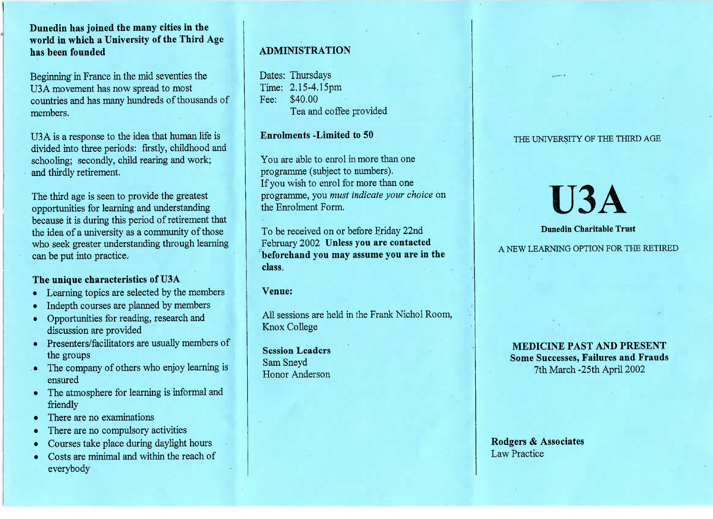## **Dunedin has joined the many cities in the world in which a University of the Third Agehas been founded**

Beginning' in France in the mid seventies theUSA movement has now spread to most countries and has many hundreds of thousands ofmembers.

U3 A is a response to the idea that human life is divided into three periods: firstly, childhood andschooling; secondly, child rearing and work;and thirdly retirement.

The third age is seen to provide the greatest opportunities for learning and understanding because it is during this period of retirement thatthe idea of a university as a community of those who seek greater understanding through learningcan be put into practice.

## **The unique characteristics of U3A**

- Learning topics are selected by the members
- Indepth courses are planned by members
- Opportunities for reading, research anddiscussion are provided
- Presenters/facilitators are usually members of the groups
- The company of others who enjoy learning isensured
- The atmosphere for learning is informal andfriendly
- There are no examinations
- There are no compulsory activities
- Courses take place during daylight hours
- Costs are minimal and within the reach ofeverybody

# **ADMINISTRATION**

Dates: Thursdays $Time: 2.15-4.15 \text{pm}$ Fee: \$40.00Lea and coffee provided

**Enrolments -Limited to 50**

You are able to enrol in more than oneprogramme (subject to numbers). If you wish to enrol for more than one programme, you *must indicate your choice* onthe Enrolment Form.

To be received on or before Friday 22nd February 2002 **Unless you are contacted beforehand you may assume you are in theclass.**

**Venue:**

All sessions are held in the Frank Nichol Room,Knox College

**Session Leaders**Sam SneydHonor Anderson

## THE UNIVERSITY OF THE THIRD AGE

# USA

#### **Dunedin Charitable Trust**

A NEW LEARNING OPTION FOR THE RETIRED

**MEDICINE PAST AND PRESENT** Some Successes, **Failures and Frauds**7th March -25th April 2002

Rodgers & **Associates**Law Practice